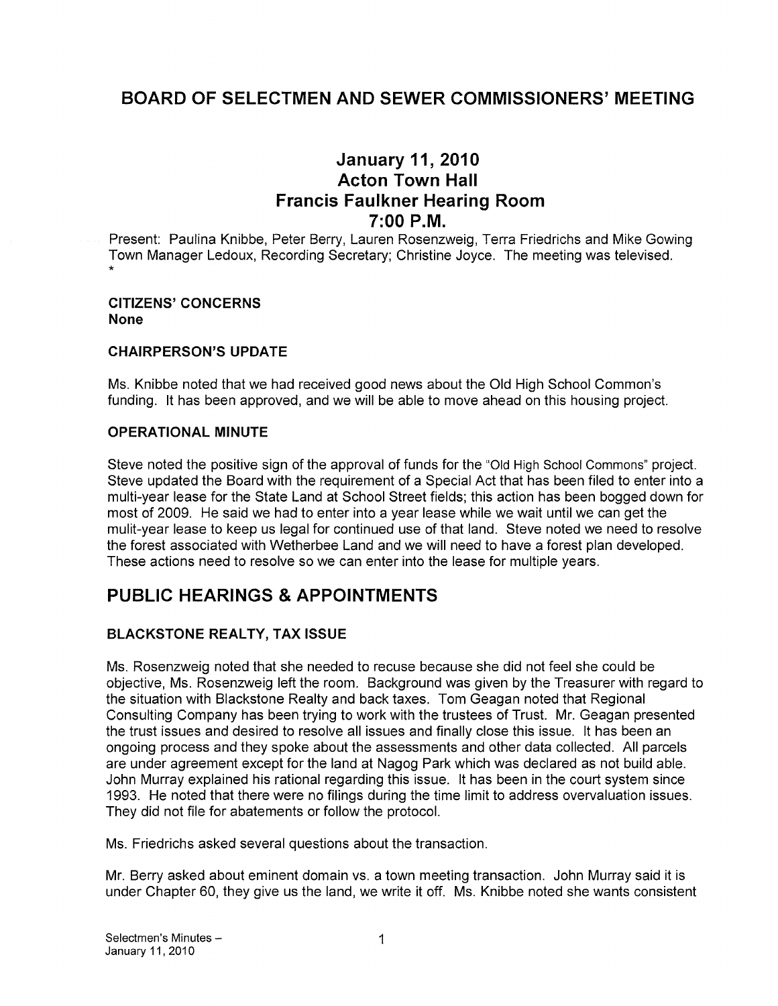# BOARD OF SELECTMEN AND SEWER COMMISSIONERS' MEETING

# January 11, 2010 Acton Town Hall Francis Faulkner Hearing Room  $7:00$  P.M.

Present: Paulina Knibbe, Peter Berry, Lauren Rosenzweig, Terra Friedrichs and Mike Gowing Town Manager Ledoux, Recording Secretary; Christine Joyce. The meeting was televised.

#### CITIZENS' CONCERNS None

#### CHAIRPERSON'S UPDATE

Ms. Knibbe noted that we had received good news about the Old High School Common's funding. It has been approved, and we will be able to move ahead on this housing project.

#### OPERATIONAL MINUTE

Steve noted the positive sign of the approval of funds for the "Old High School Commons" project. Steve updated the Board with the requirement of a Special Act that has been filed to enter into a multi-year lease for the State Land at School Street fields; this action has been bogged down for most of 2009. He said we had to enter into a year lease while we wait until we can get the mulit-year lease to keep us legal for continued use of that land. Steve noted we need to resolve the forest associated with Wetherbee Land and we will need to have a forest plan developed. These actions need to resolve so we can enter into the lease for multiple years.

# PUBLIC HEARINGS & APPOINTMENTS

### BLACKSTONE REALTY, TAX ISSUE

Ms. Rosenzweig noted that she needed to recuse because she did not feel she could be objective, Ms. Rosenzweig left the room. Background was given by the Treasurer with regard to the situation with Blackstone Realty and back taxes. Tom Geagan noted that Regional Consulting Company has been trying to work with the trustees of Trust. Mr. Geagan presented the trust issues and desired to resolve all issues and finally close this issue. It has been an ongoing process and they spoke about the assessments and other data collected. All parcels are under agreement except for the land at Nagog Park which was declared as not build able. John Murray explained his rational regarding this issue. It has been in the court system since 1993. He noted that there were no filings during the time limit to address overvaluation issues. They did not file for abatements or follow the protocol.

Ms. Friedrichs asked several questions about the transaction.

Mr. Berry asked about eminent domain vs. a town meeting transaction. John Murray said it is under Chapter 60, they give us the land, we write it off. Ms. Knibbe noted she wants consistent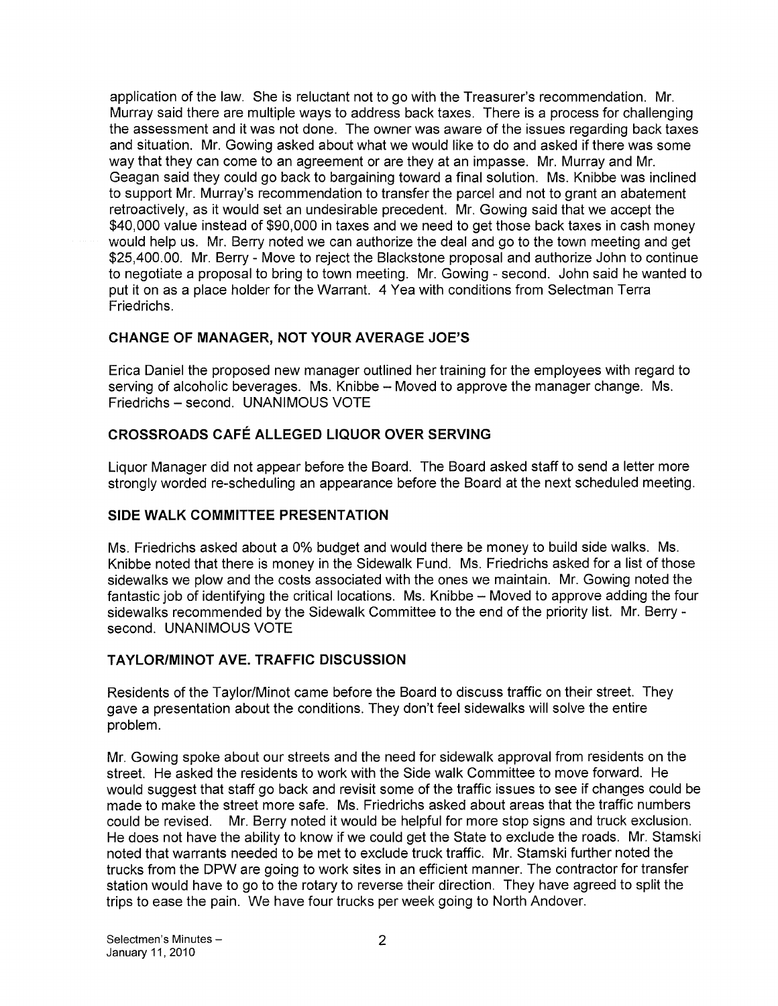application of the law. She is reluctant not to go with the Treasurer's recommendation. Mr. Murray said there are multiple ways to address back taxes. There is a process for challenging the assessment and it was not done. The owner was aware of the issues regarding back taxes and situation. Mr. Gowing asked about what we would like to do and asked if there was some way that they can come to an agreement or are they at an impasse. Mr. Murray and Mr. Geagan said they could go back to bargaining toward a final solution. Ms. Knibbe was inclined to support Mr. Murray's recommendation to transfer the parcel and not to grant an abatement retroactively, as it would set an undesirable precedent. Mr. Gowing said that we accept the \$40,000 value instead of \$90,000 in taxes and we need to get those back taxes in cash money would help us. Mr. Berry noted we can authorize the deal and go to the town meeting and get \$25,400.00. Mr. Berry - Move to reject the Blackstone proposal and authorize John to continue to negotiate a proposal to bring to town meeting. Mr. Gowing - second. John said he wanted to put it on as a place holder for the Warrant. 4 Yea with conditions from Selectman Terra Friedrichs.

### CHANGE OF MANAGER, NOT YOUR AVERAGE JOE'S

Erica Daniel the proposed new manager outlined her training for the employees with regard to serving of alcoholic beverages. Ms. Knibbe — Moved to approve the manager change. Ms. Friedrichs — second. UNANIMOUS VOTE

### CROSSROADS CAFÉ ALLEGED LIQUOR OVER SERVING

Liquor Manager did not appear before the Board. The Board asked staff to send a letter more strongly worded re-scheduling an appearance before the Board at the next scheduled meeting.

### SIDE WALK COMMITTEE PRESENTATION

Ms. Friedrichs asked about a 0% budget and would there be money to build side walks. Ms. Knibbe noted that there is money in the Sidewalk Fund. Ms. Friedrichs asked for a list of those sidewalks we plow and the costs associated with the ones we maintain. Mr. Gowing noted the fantastic job of identifying the critical locations. Ms. Knibbe — Moved to approve adding the four sidewalks recommended by the Sidewalk Committee to the end of the priority list. Mr. Berry second. UNANIMOUS VOTE

### TAYLORIMINOT AVE. TRAFFIC DISCUSSION

Residents of the Taylor/Minot came before the Board to discuss traffic on their street. They gave a presentation about the conditions. They don't feel sidewalks will solve the entire problem.

Mr. Gowing spoke about our streets and the need for sidewalk approval from residents on the street. He asked the residents to work with the Side walk Committee to move forward. He would suggest that staff go back and revisit some of the traffic issues to see if changes could be made to make the street more safe. Ms. Friedrichs asked about areas that the traffic numbers could be revised. Mr. Berry noted it would be helpful for more stop signs and truck exclusion. He does not have the ability to know if we could get the State to exclude the roads. Mr. Stamski noted that warrants needed to be met to exclude truck traffic. Mr. Stamski further noted the trucks from the DPW are going to work sites in an efficient manner. The contractor for transfer station would have to go to the rotary to reverse their direction. They have agreed to split the trips to ease the pain. We have four trucks per week going to North Andover.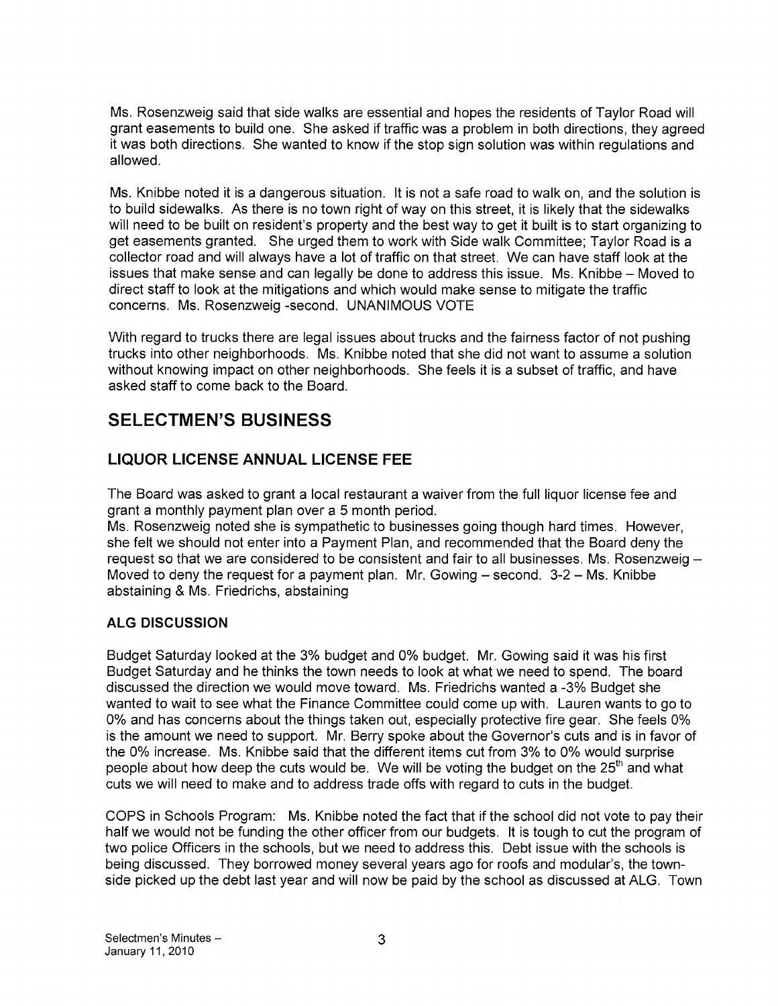Ms. Rosenzweig said that side walks are essential and hopes the residents of Taylor Road will grant easements to build one. She asked if traffic was a problem in both directions, they agreed it was both directions. She wanted to know if the stop sign solution was within regulations and allowed.

Ms. Knibbe noted it is a dangerous situation. It is not a safe road to walk on, and the solution is to build sidewalks. As there is no town right of way on this street, it is likely that the sidewalks will need to be built on resident's property and the best way to get it built is to start organizing to get easements granted. She urged them to work with Side walk Committee; Taylor Road is a collector road and will always have a lot of traffic on that street. We can have staff look at the issues that make sense and can legally be done to address this issue. Ms. Knibbe — Moved to direct staff to look at the mitigations and which would make sense to mitigate the traffic concerns. Ms. Rosenzweig -second. UNANIMOUS VOTE

With regard to trucks there are legal issues about trucks and the fairness factor of not pushing trucks into other neighborhoods. Ms. Knibbe noted that she did not want to assume a solution without knowing impact on other neighborhoods. She feels it is a subset of traffic, and have asked staff to come back to the Board.

# SELECTMEN'S BUSINESS

# LIQUOR LICENSE ANNUAL LICENSE FEE

The Board was asked to grant a local restaurant a waiver from the full liquor license fee and grant a monthly payment plan over a 5 month period.

Ms. Rosenzweig noted she is sympathetic to businesses going though hard times. However, she felt we should not enter into a Payment Plan, and recommended that the Board deny the request so that we are considered to be consistent and fair to all businesses. Ms. Rosenzweig — Moved to deny the request for a payment plan. Mr. Gowing — second. 3-2 — Ms. Knibbe abstaining & Ms. Friedrichs, abstaining

### ALG DISCUSSION

Budget Saturday looked at the 3% budget and 0% budget. Mr. Gowing said it was his first Budget Saturday and he thinks the town needs to look at what we need to spend. The board discussed the direction we would move toward. Ms. Friedrichs wanted a -3% Budget she wanted to wait to see what the Finance Committee could come up with. Lauren wants to go to 0% and has concerns about the things taken out, especially protective fire gear. She feels 0% is the amount we need to support. Mr. Berry spoke about the Governor's cuts and is in favor of the 0% increase. Ms. Knibbe said that the different items cut from 3% to 0% would surprise people about how deep the cuts would be. We will be voting the budget on the  $25<sup>th</sup>$  and what cuts we will need to make and to address trade offs with regard to cuts in the budget.

COPS in Schools Program: Ms. Knibbe noted the fact that if the school did not vote to pay their half we would not be funding the other officer from our budgets. It is tough to cut the program of two police Officers in the schools, but we need to address this. Debt issue with the schools is being discussed. They borrowed money several years ago for roofs and modular's, the town side picked up the debt last year and will now be paid by the school as discussed at ALG. Town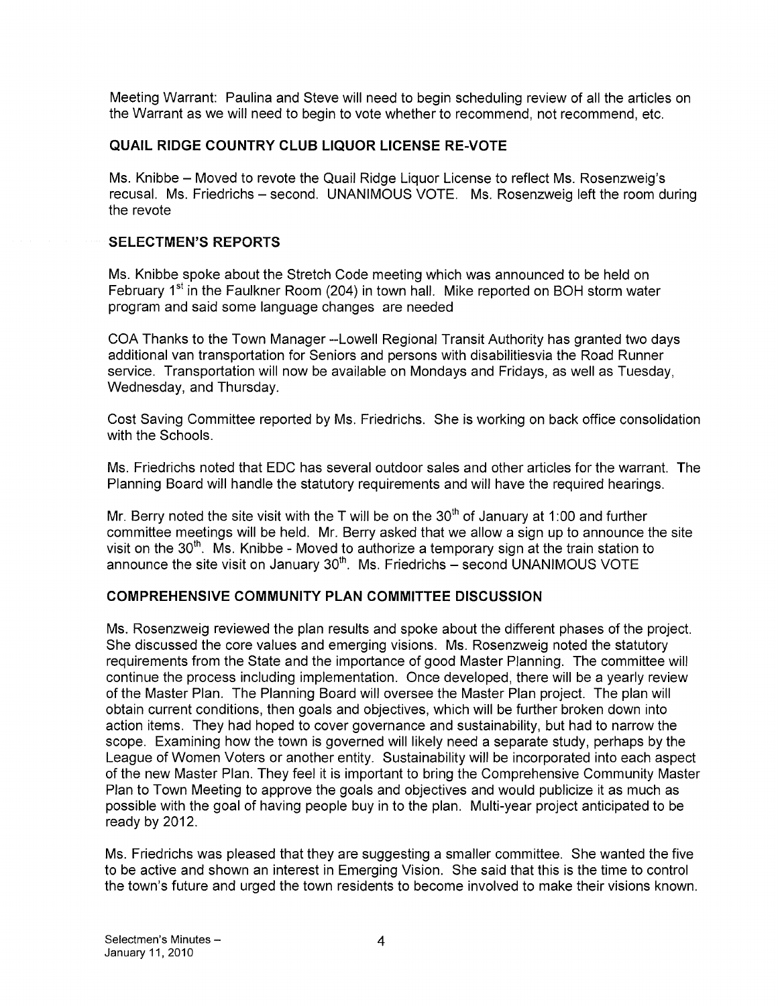Meeting Warrant: Paulina and Steve will need to begin scheduling review of all the articles on the Warrant as we will need to begin to vote whether to recommend, not recommend, etc.

### QUAIL RIDGE COUNTRY CLUB LIQUOR LICENSE RE-VOTE

Ms. Knibbe — Moved to revote the Quail Ridge Liquor License to reflect Ms. Rosenzweig's recusal. Ms. Friedrichs — second. UNANIMOUS VOTE. Ms. Rosenzweig left the room during the revote

### SELECTMEN'S REPORTS

Ms. Knibbe spoke about the Stretch Code meeting which was announced to be held on February 1<sup>st</sup> in the Faulkner Room (204) in town hall. Mike reported on BOH storm water program and said some language changes are needed

COA Thanks to the Town Manager --Lowell Regional Transit Authority has granted two days additional van transportation for Seniors and persons with disabilitiesvia the Road Runner service. Transportation will now be available on Mondays and Fridays, as well as Tuesday, Wednesday, and Thursday.

Cost Saving Committee reported by Ms. Friedrichs. She is working on back office consolidation with the Schools.

Ms. Friedrichs noted that EDC has several outdoor sales and other articles for the warrant. The Planning Board will handle the statutory requirements and will have the required hearings.

Mr. Berry noted the site visit with the T will be on the  $30<sup>th</sup>$  of January at 1:00 and further committee meetings will be held. Mr. Berry asked that we allow a sign up to announce the site visit on the  $30<sup>th</sup>$ . Ms. Knibbe - Moved to authorize a temporary sign at the train station to announce the site visit on January 30<sup>th</sup>. Ms. Friedrichs – second UNANIMOUS VOTE

### COMPREHENSIVE COMMUNITY PLAN COMMITTEE DISCUSSION

Ms. Rosenzweig reviewed the plan results and spoke about the different phases of the project. She discussed the core values and emerging visions. Ms. Rosenzweig noted the statutory requirements from the State and the importance of good Master Planning. The committee will continue the process including implementation. Once developed, there will be a yearly review of the Master Plan. The Planning Board will oversee the Master Plan project. The plan will obtain current conditions, then goals and objectives, which will be further broken down into action items. They had hoped to cover governance and sustainability, but had to narrow the scope. Examining how the town is governed will likely need a separate study, perhaps by the League of Women Voters or another entity. Sustainability will be incorporated into each aspect of the new Master Plan. They feel it is important to bring the Comprehensive Community Master Plan to Town Meeting to approve the goals and objectives and would publicize it as much as possible with the goal of having people buy in to the plan. Multi-year project anticipated to be ready by 2012.

Ms. Friedrichs was pleased that they are suggesting a smaller committee. She wanted the five to be active and shown an interest in Emerging Vision. She said that this is the time to control the town's future and urged the town residents to become involved to make their visions known.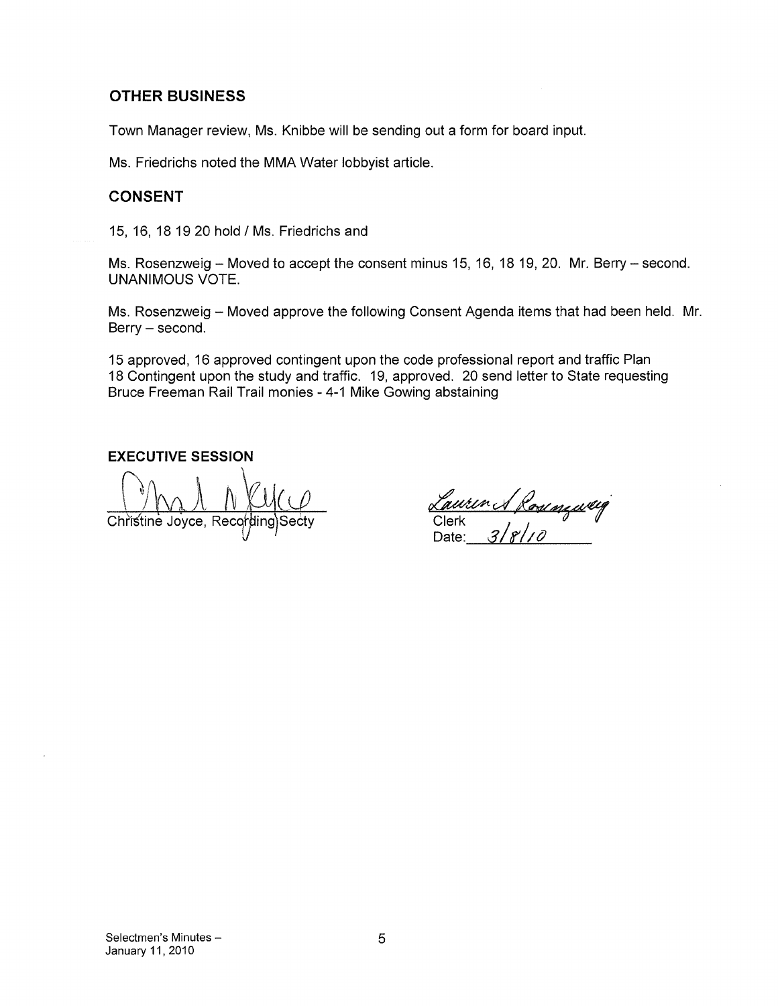### OTHER BUSINESS

Town Manager review, Ms. Knibbe will be sending out a form for board input.

Ms. Friedrichs noted the MMA Water lobbyist article.

### CONSENT

15, 16, 18 1920 hold I Ms. Friedrichs and

Ms. Rosenzweig — Moved to accept the consent minus 15, 16, 18 19, 20. Mr. Berry — second. UNANIMOUS VOTE.

Ms. Rosenzweig — Moved approve the following Consent Agenda items that had been held. Mr. Berry — second.

15 approved, 16 approved contingent upon the code professional report and traffic Plan 18 Contingent upon the study and traffic. 19, approved. 20 send letter to State requesting Bruce Freeman Rail Trail monies - 4-1 Mike Gowing abstaining

EXECUTIVE SESSION

Christine Joyce, Recording)Secty **Clerk** Clerk , *Clerk* , *Date:* 

<u>Caurin & Romming</u><br>Clerk<br>Date: 3/8/10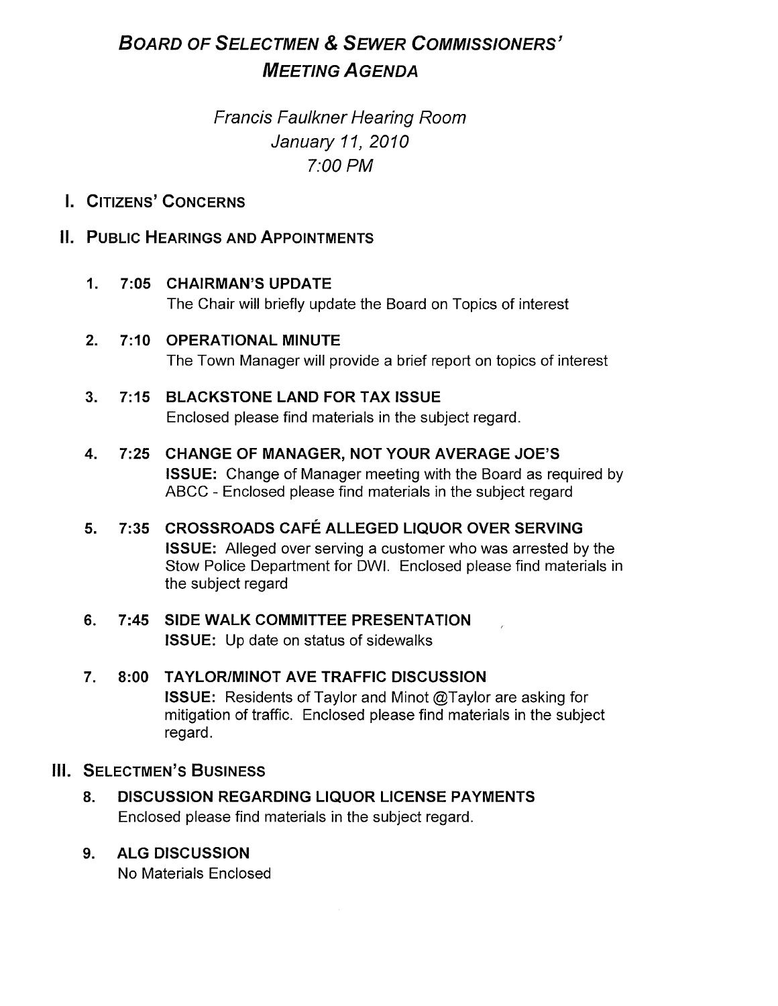# BOARD OF SELECTMEN & SEWER COMMISSIONERS' MEETING A GENDA

# Francis Faulkner Hearing Room January 11, 2010 7:00 PM

# I. CITIZENS' CONCERNS

## IL PUBLIC HEARINGS AND APPOINTMENTS

## 1. 7:05 CHAIRMAN'S UPDATE

The Chair will briefly update the Board on Topics of interest

## 2. 7:10 OPERATIONAL MINUTE

The Town Manager will provide a brief report on topics of interest

# 3. 7:15 BLACKSTONE LAND FOR TAX ISSUE

Enclosed please find materials in the subject regard.

## 4. 7:25 CHANGE OF MANAGER, NOT YOUR AVERAGE JOE'S ISSUE: Change of Manager meeting with the Board as required by ABCC - Enclosed please find materials in the subject regard

# 5. 7:35 CROSSROADS CAFÉ ALLEGED LIQUOR OVER SERVING ISSUE: Alleged over serving a customer who was arrested by the Stow Police Department for DWI. Enclosed please find materials in the subject regard

# 6. 7:45 SIDE WALK COMMITTEE PRESENTATION ISSUE: Up date on status of sidewalks

## 7. 8:00 TAYLOR/MINOT AVE TRAFFIC DISCUSSION ISSUE: Residents of Taylor and Minot @Taylor are asking for mitigation of traffic. Enclosed please find materials in the subject regard.

## **III. SELECTMEN'S BUSINESS**

# 8. DISCUSSION REGARDING LIQUOR LICENSE PAYMENTS Enclosed please find materials in the subject regard.

## 9. ALG DISCUSSION

No Materials Enclosed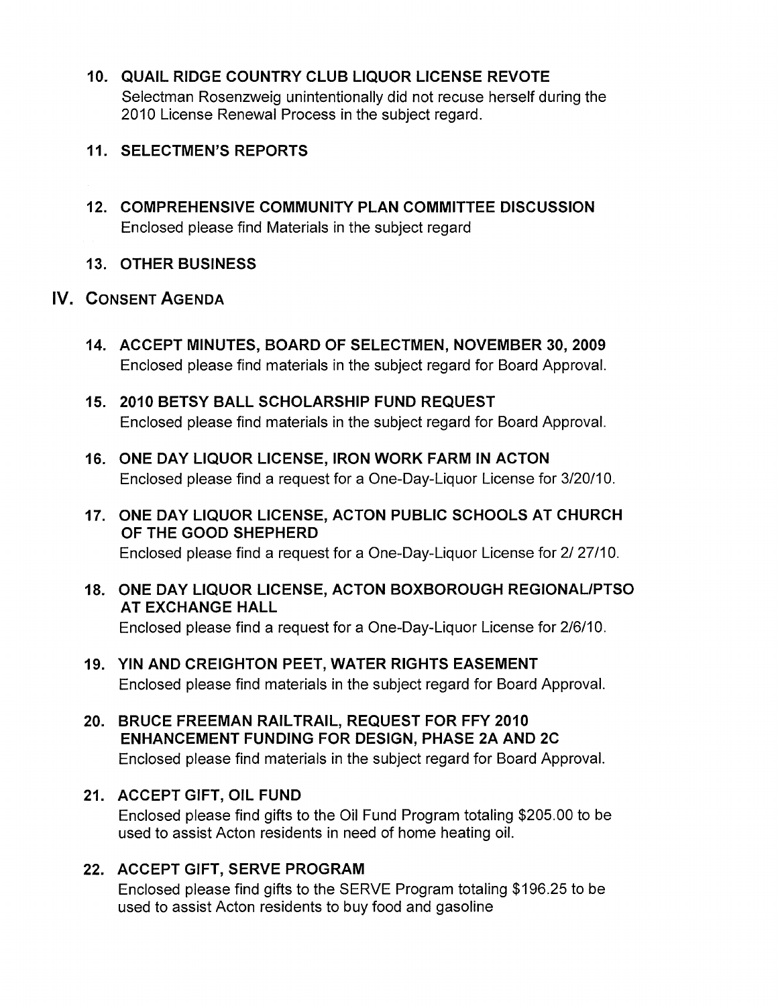10. QUAIL RIDGE COUNTRY CLUB LIQUOR LICENSE REVOTE Selectman Rosenzweig unintentionally did not recuse herself during the 2010 License Renewal Process in the subject regard.

## 11. SELECTMEN'S REPORTS

12. COMPREHENSIVE COMMUNITY PLAN COMMITTEE DISCUSSION Enclosed please find Materials in the subject regard

## 13. OTHER BUSINESS

# IV. CONSENT AGENDA

- 14. ACCEPT MINUTES, BOARD OF SELECTMEN, NOVEMBER 30, 2009 Enclosed please find materials in the subject regard for Board Approval.
- 15. 2010 BETSY BALL SCHOLARSHIP FUND REQUEST Enclosed please find materials in the subject regard for Board Approval.
- 16. ONE DAY LIQUOR LICENSE, IRON WORK FARM IN ACTON Enclosed please find a request for a One-Day-Liquor License for 3/20/10.
- 17. ONE DAY LIQUOR LICENSE, ACTON PUBLIC SCHOOLS AT CHURCH OF THE GOOD SHEPHERD

Enclosed please find a request for a One-Day-Liquor License for 2/ 27/10.

- 18. ONE DAY LIQUOR LICENSE, ACTON BOXBOROUGH REGIONALIPTSO AT EXCHANGE HALL Enclosed please find a request for a One-Day-Liquor License for 2/6/10.
- 19. YIN AND CREIGHTON PEET, WATER RIGHTS EASEMENT Enclosed please find materials in the subject regard for Board Approval.
- 20. BRUCE FREEMAN RAILTRAIL, REQUEST FOR FEY 2010 ENHANCEMENT FUNDING FOR DESIGN, PHASE 2A AND 2C Enclosed please find materials in the subject regard for Board Approval.

## 21. ACCEPT GIFT, OIL FUND

Enclosed please find gifts to the Oil Fund Program totaling \$205.00 to be used to assist Acton residents in need of home heating oil.

## 22. ACCEPT GIFT, SERVE PROGRAM

Enclosed please find gifts to the SERVE Program totaling \$196.25 to be used to assist Acton residents to buy food and gasoline